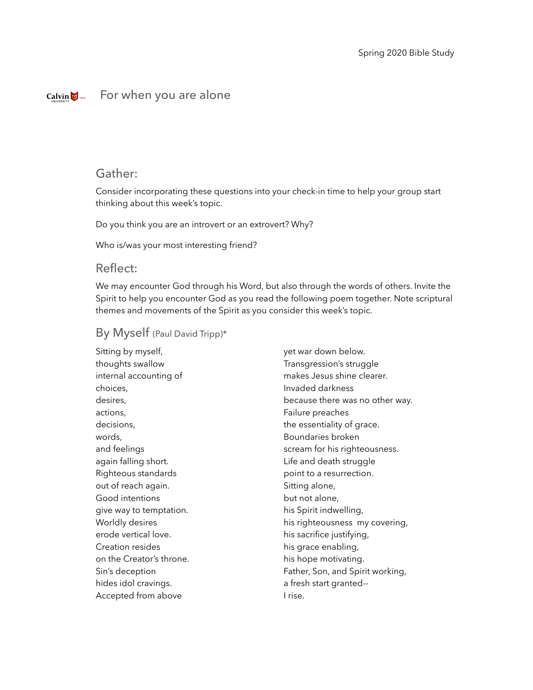#### For when you are aloneCalvin  $\sum_{1876}$

# Gather:

Consider incorporating these questions into your check-in time to help your group start thinking about this week's topic.

Do you think you are an introvert or an extrovert? Why?

Who is/was your most interesting friend?

#### Reflect:

We may encounter God through his Word, but also through the words of others. Invite the Spirit to help you encounter God as you read the following poem together. Note scriptural themes and movements of the Spirit as you consider this week's topic.

# By Myself (Paul David Tripp)\*

Sitting by myself, thoughts swallow internal accounting of choices, desires, actions, decisions, words, and feelings again falling short. Righteous standards out of reach again. Good intentions give way to temptation. Worldly desires erode vertical love. Creation resides on the Creator's throne. Sin's deception hides idol cravings. Accepted from above

yet war down below. Transgression's struggle makes Jesus shine clearer. Invaded darkness because there was no other way. Failure preaches the essentiality of grace. Boundaries broken scream for his righteousness. Life and death struggle point to a resurrection. Sitting alone, but not alone, his Spirit indwelling, his righteousness my covering, his sacrifice justifying, his grace enabling, his hope motivating. Father, Son, and Spirit working, a fresh start granted-- I rise.